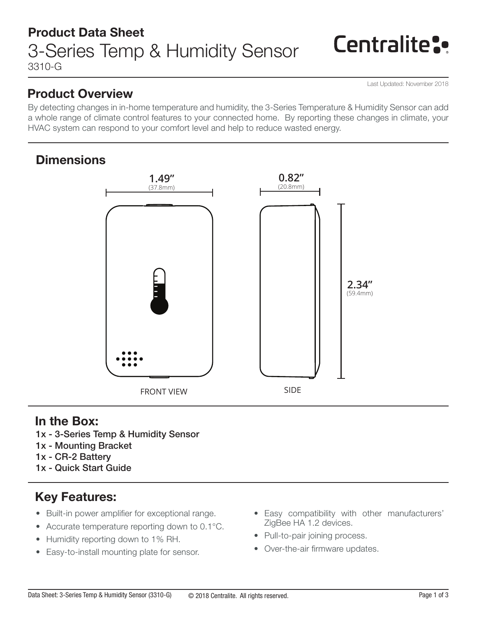## Product Data Sheet 3310-G 3-Series Temp & Humidity Sensor

# **Centralite:**

Last Updated: November 2018

### Product Overview

By detecting changes in in-home temperature and humidity, the 3-Series Temperature & Humidity Sensor can add a whole range of climate control features to your connected home. By reporting these changes in climate, your HVAC system can respond to your comfort level and help to reduce wasted energy.

### **Dimensions**



### In the Box:

- 1x 3-Series Temp & Humidity Sensor
- 1x Mounting Bracket
- 1x CR-2 Battery
- 1x Quick Start Guide

## Key Features:

- Built-in power amplifier for exceptional range.
- Accurate temperature reporting down to 0.1°C.
- Humidity reporting down to 1% RH.
- Easy-to-install mounting plate for sensor.
- Easy compatibility with other manufacturers' ZigBee HA 1.2 devices.
- Pull-to-pair joining process.
- Over-the-air firmware updates.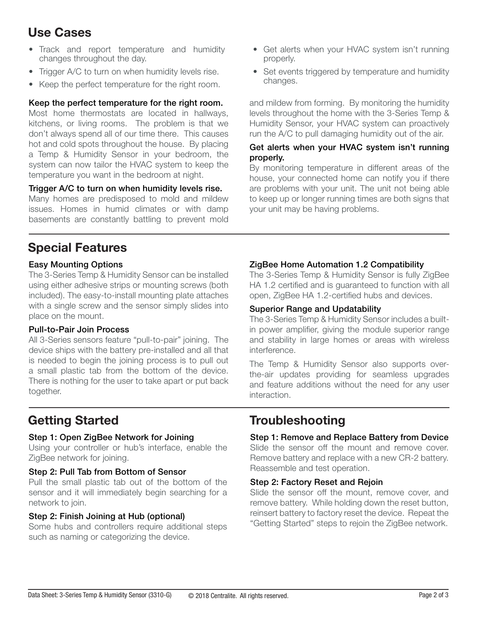### Use Cases

- Track and report temperature and humidity changes throughout the day.
- Trigger A/C to turn on when humidity levels rise.
- Keep the perfect temperature for the right room.

#### Keep the perfect temperature for the right room.

Most home thermostats are located in hallways, kitchens, or living rooms. The problem is that we don't always spend all of our time there. This causes hot and cold spots throughout the house. By placing a Temp & Humidity Sensor in your bedroom, the system can now tailor the HVAC system to keep the temperature you want in the bedroom at night.

### Trigger A/C to turn on when humidity levels rise.

Many homes are predisposed to mold and mildew issues. Homes in humid climates or with damp basements are constantly battling to prevent mold

### Special Features

#### Easy Mounting Options

The 3-Series Temp & Humidity Sensor can be installed using either adhesive strips or mounting screws (both included). The easy-to-install mounting plate attaches with a single screw and the sensor simply slides into place on the mount.

### Pull-to-Pair Join Process

All 3-Series sensors feature "pull-to-pair" joining. The device ships with the battery pre-installed and all that is needed to begin the joining process is to pull out a small plastic tab from the bottom of the device. There is nothing for the user to take apart or put back together.

#### Step 1: Open ZigBee Network for Joining

Using your controller or hub's interface, enable the ZigBee network for joining.

#### Step 2: Pull Tab from Bottom of Sensor

Pull the small plastic tab out of the bottom of the sensor and it will immediately begin searching for a network to join.

### Step 2: Finish Joining at Hub (optional)

Some hubs and controllers require additional steps such as naming or categorizing the device.

- Get alerts when your HVAC system isn't running properly.
- Set events triggered by temperature and humidity changes.

and mildew from forming. By monitoring the humidity levels throughout the home with the 3-Series Temp & Humidity Sensor, your HVAC system can proactively run the A/C to pull damaging humidity out of the air.

#### Get alerts when your HVAC system isn't running properly.

By monitoring temperature in different areas of the house, your connected home can notify you if there are problems with your unit. The unit not being able to keep up or longer running times are both signs that your unit may be having problems.

### ZigBee Home Automation 1.2 Compatibility

The 3-Series Temp & Humidity Sensor is fully ZigBee HA 1.2 certified and is guaranteed to function with all open, ZigBee HA 1.2-certified hubs and devices.

#### Superior Range and Updatability

The 3-Series Temp & Humidity Sensor includes a builtin power amplifier, giving the module superior range and stability in large homes or areas with wireless interference.

The Temp & Humidity Sensor also supports overthe-air updates providing for seamless upgrades and feature additions without the need for any user interaction.

### Getting Started Troubleshooting

#### Step 1: Remove and Replace Battery from Device

Slide the sensor off the mount and remove cover. Remove battery and replace with a new CR-2 battery. Reassemble and test operation.

#### Step 2: Factory Reset and Rejoin

Slide the sensor off the mount, remove cover, and remove battery. While holding down the reset button, reinsert battery to factory reset the device. Repeat the "Getting Started" steps to rejoin the ZigBee network.